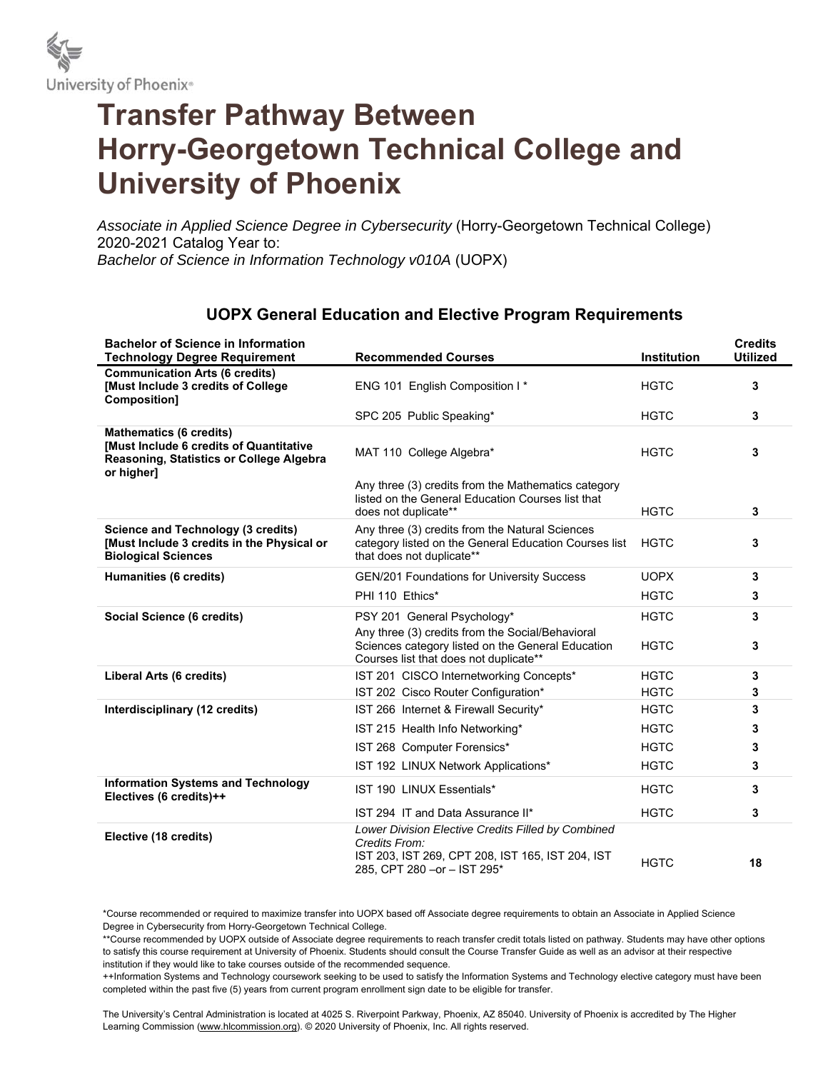

# **Transfer Pathway Between Horry-Georgetown Technical College and University of Phoenix**

*Associate in Applied Science Degree in Cybersecurity* (Horry-Georgetown Technical College) 2020-2021 Catalog Year to: *Bachelor of Science in Information Technology v010A* (UOPX)

#### **Bachelor of Science in Information Technology Degree Requirement Recommended Courses Institution Credits Utilized Communication Arts (6 credits) [Must Include 3 credits of College Composition]**  ENG 101 English Composition I<sup>\*</sup> FIGTC 3 SPC 205 Public Speaking\* **3 HGTC 3 Mathematics (6 credits) [Must Include 6 credits of Quantitative Reasoning, Statistics or College Algebra or higher]**  MAT 110 College Algebra<sup>\*</sup> and **3 3 3** Any three (3) credits from the Mathematics category listed on the General Education Courses list that does not duplicate\*\* **3 Science and Technology (3 credits) [Must Include 3 credits in the Physical or Biological Sciences**  Any three (3) credits from the Natural Sciences category listed on the General Education Courses list that does not duplicate\*\* HGTC **3 Humanities (6 credits)** GEN/201 Foundations for University Success UOPX **3**  PHI 110 Ethics<sup>\*</sup> 3 **Social Science (6 credits) PSY 201 General Psychology\* BION HGTC 3** Any three (3) credits from the Social/Behavioral Sciences category listed on the General Education Courses list that does not duplicate\*\* HGTC **3 Liberal Arts (6 credits)** IST 201 CISCO Internetworking Concepts\* HGTC **3 IST 202 Cisco Router Configuration\* HGTC 3 Interdisciplinary (12 credits) IST 266** Internet & Firewall Security\* **1988** HGTC **3** IST 215 Health Info Networking\* **1988** HGTC **3 IST 268 Computer Forensics\* 1988 Computer Forensics\* 3** IST 192 LINUX Network Applications\* HGTC **3 Information Systems and Technology**  nnormation systems and rechnology and **IST 190 LINUX Essentials\*** The extra property of the control of the system of the system of the system of the system of the system of the system of the system of the system of the sys IST 294 IT and Data Assurance II\* HGTC **3 Elective (18 credits)** *Lower Division Elective Credits Filled by Combined Credits From:* IST 203, IST 269, CPT 208, IST 165, IST 204, IST 131 203, 131 209, CFT 200, 131 103, 131 20<del>4</del>, 131 HGTC **18**<br>285, CPT 280 –or – IST 295<sup>\*</sup>

#### **UOPX General Education and Elective Program Requirements**

\*Course recommended or required to maximize transfer into UOPX based off Associate degree requirements to obtain an Associate in Applied Science Degree in Cybersecurity from Horry-Georgetown Technical College.

\*\*Course recommended by UOPX outside of Associate degree requirements to reach transfer credit totals listed on pathway. Students may have other options to satisfy this course requirement at University of Phoenix. Students should consult the Course Transfer Guide as well as an advisor at their respective institution if they would like to take courses outside of the recommended sequence.

++Information Systems and Technology coursework seeking to be used to satisfy the Information Systems and Technology elective category must have been completed within the past five (5) years from current program enrollment sign date to be eligible for transfer.

The University's Central Administration is located at 4025 S. Riverpoint Parkway, Phoenix, AZ 85040. University of Phoenix is accredited by The Higher Learning Commission (www.hlcommission.org). © 2020 University of Phoenix, Inc. All rights reserved.